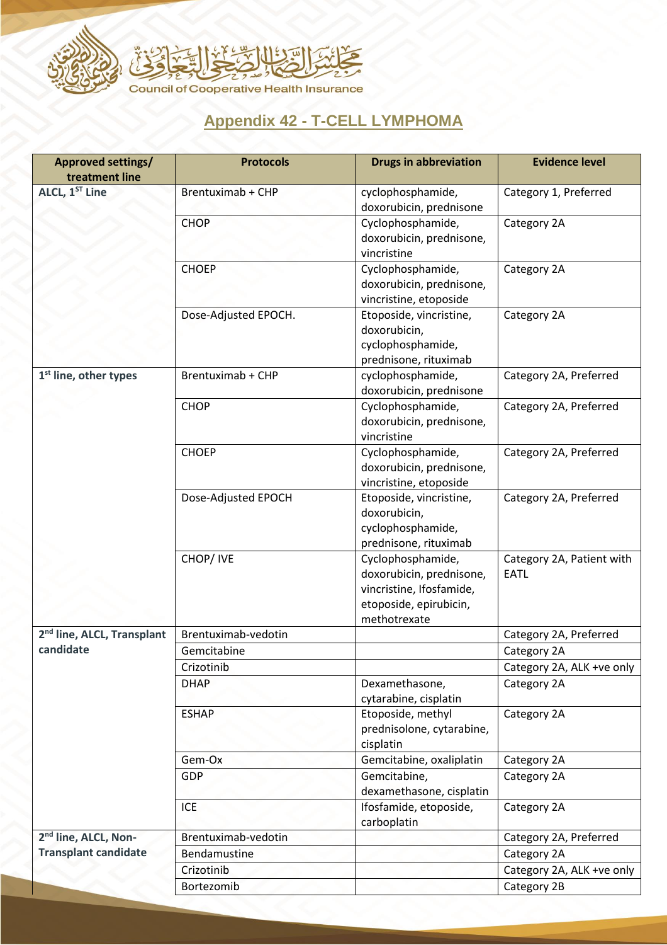

## **Appendix 42 - T-CELL LYMPHOMA**

| <b>Approved settings/</b><br>treatment line         | <b>Protocols</b>     | <b>Drugs in abbreviation</b>                                                                                        | <b>Evidence level</b>                    |
|-----------------------------------------------------|----------------------|---------------------------------------------------------------------------------------------------------------------|------------------------------------------|
| ALCL, 1ST Line                                      | Brentuximab + CHP    | cyclophosphamide,<br>doxorubicin, prednisone                                                                        | Category 1, Preferred                    |
|                                                     | <b>CHOP</b>          | Cyclophosphamide,<br>doxorubicin, prednisone,<br>vincristine                                                        | Category 2A                              |
|                                                     | <b>CHOEP</b>         | Cyclophosphamide,<br>doxorubicin, prednisone,<br>vincristine, etoposide                                             | Category 2A                              |
|                                                     | Dose-Adjusted EPOCH. | Etoposide, vincristine,<br>doxorubicin,<br>cyclophosphamide,<br>prednisone, rituximab                               | Category 2A                              |
| 1 <sup>st</sup> line, other types                   | Brentuximab + CHP    | cyclophosphamide,<br>doxorubicin, prednisone                                                                        | Category 2A, Preferred                   |
|                                                     | <b>CHOP</b>          | Cyclophosphamide,<br>doxorubicin, prednisone,<br>vincristine                                                        | Category 2A, Preferred                   |
|                                                     | <b>CHOEP</b>         | Cyclophosphamide,<br>doxorubicin, prednisone,<br>vincristine, etoposide                                             | Category 2A, Preferred                   |
|                                                     | Dose-Adjusted EPOCH  | Etoposide, vincristine,<br>doxorubicin,<br>cyclophosphamide,<br>prednisone, rituximab                               | Category 2A, Preferred                   |
|                                                     | CHOP/IVE             | Cyclophosphamide,<br>doxorubicin, prednisone,<br>vincristine, Ifosfamide,<br>etoposide, epirubicin,<br>methotrexate | Category 2A, Patient with<br><b>EATL</b> |
| 2 <sup>nd</sup> line, ALCL, Transplant<br>candidate | Brentuximab-vedotin  |                                                                                                                     | Category 2A, Preferred                   |
|                                                     | Gemcitabine          |                                                                                                                     | Category 2A                              |
|                                                     | Crizotinib           |                                                                                                                     | Category 2A, ALK +ve only                |
|                                                     | <b>DHAP</b>          | Dexamethasone,<br>cytarabine, cisplatin                                                                             | Category 2A                              |
|                                                     | <b>ESHAP</b>         | Etoposide, methyl<br>prednisolone, cytarabine,<br>cisplatin                                                         | Category 2A                              |
|                                                     | Gem-Ox               | Gemcitabine, oxaliplatin                                                                                            | Category 2A                              |
|                                                     | <b>GDP</b>           | Gemcitabine,<br>dexamethasone, cisplatin                                                                            | Category 2A                              |
|                                                     | <b>ICE</b>           | Ifosfamide, etoposide,<br>carboplatin                                                                               | Category 2A                              |
| 2 <sup>nd</sup> line, ALCL, Non-                    | Brentuximab-vedotin  |                                                                                                                     | Category 2A, Preferred                   |
| <b>Transplant candidate</b>                         | Bendamustine         |                                                                                                                     | Category 2A                              |
|                                                     | Crizotinib           |                                                                                                                     | Category 2A, ALK +ve only                |
|                                                     | Bortezomib           |                                                                                                                     | Category 2B                              |